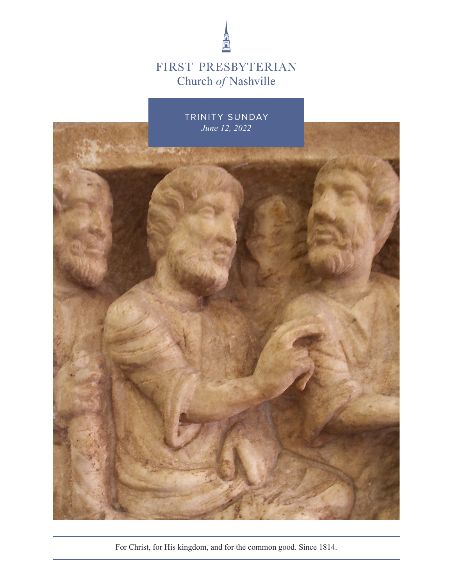

# FIRST PRESBYTERIAN Church of Nashville



For Christ, for His kingdom, and for the common good. Since 1814.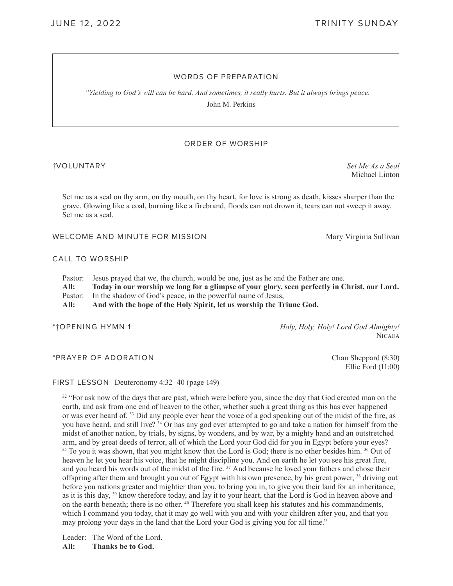### WORDS OF PREPARATION

*"Yielding to God's will can be hard. And sometimes, it really hurts. But it always brings peace.*  —John M. Perkins

#### ORDER OF WORSHIP

#### †VOLUNTARY *Set Me As a Seal*

Michael Linton

Set me as a seal on thy arm, on thy mouth, on thy heart, for love is strong as death, kisses sharper than the grave. Glowing like a coal, burning like a firebrand, floods can not drown it, tears can not sweep it away. Set me as a seal.

WELCOME AND MINUTE FOR MISSION Mary Virginia Sullivan

#### CALL TO WORSHIP

Pastor: Jesus prayed that we, the church, would be one, just as he and the Father are one.

**All: Today in our worship we long for a glimpse of your glory, seen perfectly in Christ, our Lord.** Pastor: In the shadow of God's peace, in the powerful name of Jesus,

**All: And with the hope of the Holy Spirit, let us worship the Triune God.**

\*†OPENING HYMN 1 *Holy, Holy, Holy! Lord God Almighty!*  **NICAEA** 

\*PRAYER OF ADORATION **Chan Sheppard (8:30)** 

Ellie Ford (11:00)

FIRST LESSON | Deuteronomy 4:32–40 (page 149)

<sup>32</sup> "For ask now of the days that are past, which were before you, since the day that God created man on the earth, and ask from one end of heaven to the other, whether such a great thing as this has ever happened or was ever heard of. 33 Did any people ever hear the voice of a god speaking out of the midst of the fire, as you have heard, and still live? 34 Or has any god ever attempted to go and take a nation for himself from the midst of another nation, by trials, by signs, by wonders, and by war, by a mighty hand and an outstretched arm, and by great deeds of terror, all of which the Lord your God did for you in Egypt before your eyes? <sup>35</sup> To you it was shown, that you might know that the Lord is God; there is no other besides him. <sup>36</sup> Out of heaven he let you hear his voice, that he might discipline you. And on earth he let you see his great fire, and you heard his words out of the midst of the fire.<sup>37</sup> And because he loved your fathers and chose their offspring after them and brought you out of Egypt with his own presence, by his great power, <sup>38</sup> driving out before you nations greater and mightier than you, to bring you in, to give you their land for an inheritance, as it is this day, 39 know therefore today, and lay it to your heart, that the Lord is God in heaven above and on the earth beneath; there is no other. 40 Therefore you shall keep his statutes and his commandments, which I command you today, that it may go well with you and with your children after you, and that you may prolong your days in the land that the Lord your God is giving you for all time."

Leader: The Word of the Lord. **All: Thanks be to God.**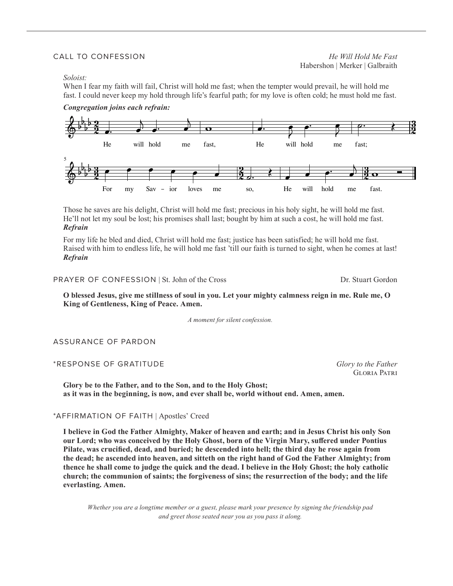*Soloist:*

When I fear my faith will fail, Christ will hold me fast; when the tempter would prevail, he will hold me fast. I could never keep my hold through life's fearful path; for my love is often cold; he must hold me fast.



Those he saves are his delight, Christ will hold me fast; precious in his holy sight, he will hold me fast. He'll not let my soul be lost; his promises shall last; bought by him at such a cost, he will hold me fast. *Refrain*

For my life he bled and died, Christ will hold me fast; justice has been satisfied; he will hold me fast. Raised with him to endless life, he will hold me fast 'till our faith is turned to sight, when he comes at last! *Refrain* 

PRAYER OF CONFESSION | St. John of the Cross Dr. Stuart Gordon

Gloria Patri

**O blessed Jesus, give me stillness of soul in you. Let your mighty calmness reign in me. Rule me, O King of Gentleness, King of Peace. Amen.** 

*A moment for silent confession.*

ASSURANCE OF PARDON

\*RESPONSE OF GRATITUDE *Glory to the Father* 

**Glory be to the Father, and to the Son, and to the Holy Ghost; as it was in the beginning, is now, and ever shall be, world without end. Amen, amen.** 

#### \*AFFIRMATION OF FAITH | Apostles' Creed

**I believe in God the Father Almighty, Maker of heaven and earth; and in Jesus Christ his only Son our Lord; who was conceived by the Holy Ghost, born of the Virgin Mary, suffered under Pontius Pilate, was crucified, dead, and buried; he descended into hell; the third day he rose again from the dead; he ascended into heaven, and sitteth on the right hand of God the Father Almighty; from thence he shall come to judge the quick and the dead. I believe in the Holy Ghost; the holy catholic church; the communion of saints; the forgiveness of sins; the resurrection of the body; and the life everlasting. Amen.** 

*Whether you are a longtime member or a guest, please mark your presence by signing the friendship pad and greet those seated near you as you pass it along.*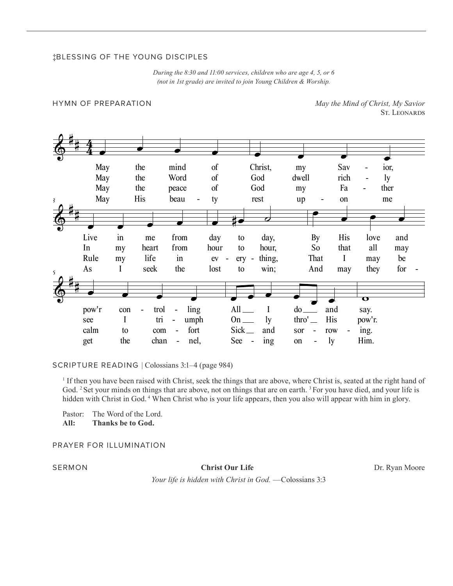# ‡BLESSING OF THE YOUNG DISCIPLES

*During the 8:30 and 11:00 services, children who are age 4, 5, or 6 (not in 1st grade) are invited to join Young Children & Worship.*

HYMN OF PREPARATION *May the Mind of Christ, My Savior*  St. LEONARDS



SCRIPTURE READING | Colossians 3:1–4 (page 984)

1 If then you have been raised with Christ, seek the things that are above, where Christ is, seated at the right hand of God. <sup>2</sup> Set your minds on things that are above, not on things that are on earth. <sup>3</sup> For you have died, and your life is hidden with Christ in God.<sup>4</sup> When Christ who is your life appears, then you also will appear with him in glory.

Pastor: The Word of the Lord.<br>All: Thanks be to God.

**All: Thanks be to God.** 

PRAYER FOR ILLUMINATION

**SERMON Christ Our Life Christ Our Life Dr. Ryan Moore** 

*Your life is hidden with Christ in God.* —Colossians 3:3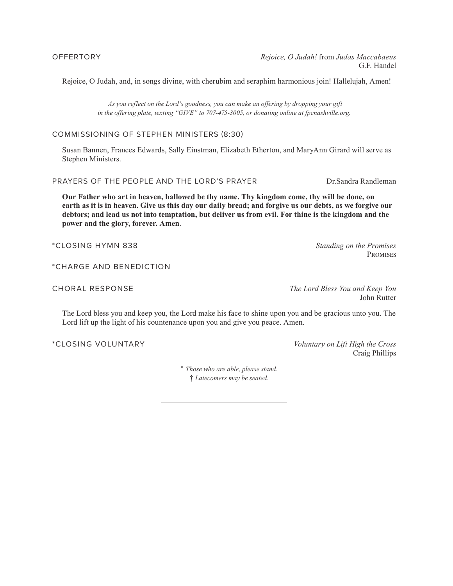OFFERTORY *Rejoice, O Judah!* from *Judas Maccabaeus*  G.F. Handel

Rejoice, O Judah, and, in songs divine, with cherubim and seraphim harmonious join! Hallelujah, Amen!

*As you reflect on the Lord's goodness, you can make an offering by dropping your gift in the offering plate, texting "GIVE" to 707-475-3005, or donating online at fpcnashville.org.* 

## COMMISSIONING OF STEPHEN MINISTERS (8:30)

Susan Bannen, Frances Edwards, Sally Einstman, Elizabeth Etherton, and MaryAnn Girard will serve as Stephen Ministers.

PRAYERS OF THE PEOPLE AND THE LORD'S PRAYER DR.Sandra Randleman

**Our Father who art in heaven, hallowed be thy name. Thy kingdom come, thy will be done, on earth as it is in heaven. Give us this day our daily bread; and forgive us our debts, as we forgive our debtors; and lead us not into temptation, but deliver us from evil. For thine is the kingdom and the power and the glory, forever. Amen**.

\*CLOSING HYMN 838 *Standing on the Promises* 

\*CHARGE AND BENEDICTION

CHORAL RESPONSE *The Lord Bless You and Keep You*  John Rutter

The Lord bless you and keep you, the Lord make his face to shine upon you and be gracious unto you. The Lord lift up the light of his countenance upon you and give you peace. Amen.

\*CLOSING VOLUNTARY *Voluntary on Lift High the Cross*  Craig Phillips

> \* *Those who are able, please stand.* † *Latecomers may be seated.*

**PROMISES**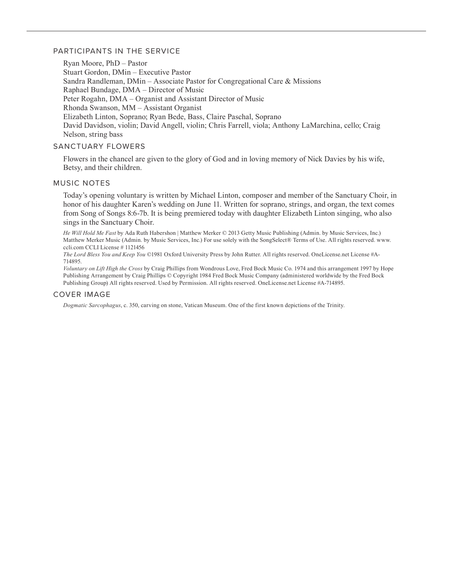### PARTICIPANTS IN THE SERVICE

Ryan Moore, PhD – Pastor Stuart Gordon, DMin – Executive Pastor Sandra Randleman, DMin – Associate Pastor for Congregational Care & Missions Raphael Bundage, DMA – Director of Music Peter Rogahn, DMA – Organist and Assistant Director of Music Rhonda Swanson, MM – Assistant Organist Elizabeth Linton, Soprano; Ryan Bede, Bass, Claire Paschal, Soprano David Davidson, violin; David Angell, violin; Chris Farrell, viola; Anthony LaMarchina, cello; Craig Nelson, string bass

### SANCTUARY FLOWERS

Flowers in the chancel are given to the glory of God and in loving memory of Nick Davies by his wife, Betsy, and their children.

#### MUSIC NOTES

Today's opening voluntary is written by Michael Linton, composer and member of the Sanctuary Choir, in honor of his daughter Karen's wedding on June 11. Written for soprano, strings, and organ, the text comes from Song of Songs 8:6-7b. It is being premiered today with daughter Elizabeth Linton singing, who also sings in the Sanctuary Choir.

*He Will Hold Me Fast* by Ada Ruth Habershon | Matthew Merker © 2013 Getty Music Publishing (Admin. by Music Services, Inc.) Matthew Merker Music (Admin. by Music Services, Inc.) For use solely with the SongSelect® Terms of Use. All rights reserved. www. ccli.com CCLI License # 1121456

*The Lord Bless You and Keep You* ©1981 Oxford University Press by John Rutter. All rights reserved. OneLicense.net License #A-714895.

*Voluntary on Lift High the Cross* by Craig Phillips from Wondrous Love, Fred Bock Music Co. 1974 and this arrangement 1997 by Hope Publishing Arrangement by Craig Phillips © Copyright 1984 Fred Bock Music Company (administered worldwide by the Fred Bock Publishing Group) All rights reserved. Used by Permission. All rights reserved. OneLicense.net License #A-714895.

### COVER IMAGE

*Dogmatic Sarcophagus*, c. 350, carving on stone, Vatican Museum. One of the first known depictions of the Trinity.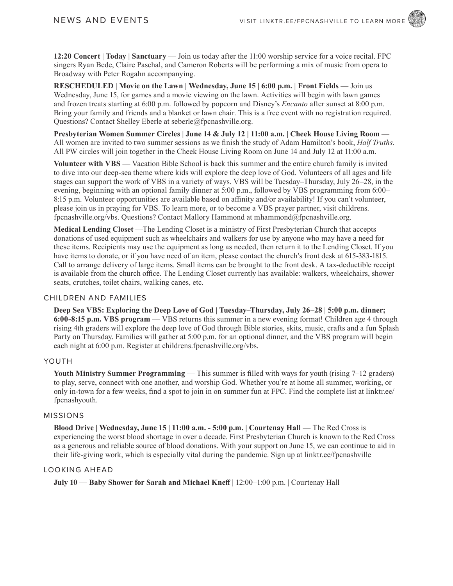**12:20 Concert | Today | Sanctuary** — Join us today after the 11:00 worship service for a voice recital. FPC singers Ryan Bede, Claire Paschal, and Cameron Roberts will be performing a mix of music from opera to Broadway with Peter Rogahn accompanying.

**RESCHEDULED | Movie on the Lawn | Wednesday, June 15 | 6:00 p.m. | Front Fields** — Join us Wednesday, June 15, for games and a movie viewing on the lawn. Activities will begin with lawn games and frozen treats starting at 6:00 p.m. followed by popcorn and Disney's *Encanto* after sunset at 8:00 p.m. Bring your family and friends and a blanket or lawn chair. This is a free event with no registration required. Questions? Contact Shelley Eberle at seberle@fpcnashville.org.

**Presbyterian Women Summer Circles | June 14 & July 12 | 11:00 a.m. | Cheek House Living Room** — All women are invited to two summer sessions as we finish the study of Adam Hamilton's book, *Half Truths*. All PW circles will join together in the Cheek House Living Room on June 14 and July 12 at 11:00 a.m.

**Volunteer with VBS** — Vacation Bible School is back this summer and the entire church family is invited to dive into our deep-sea theme where kids will explore the deep love of God. Volunteers of all ages and life stages can support the work of VBS in a variety of ways. VBS will be Tuesday–Thursday, July 26–28, in the evening, beginning with an optional family dinner at 5:00 p.m., followed by VBS programming from 6:00– 8:15 p.m. Volunteer opportunities are available based on affinity and/or availability! If you can't volunteer, please join us in praying for VBS. To learn more, or to become a VBS prayer partner, visit childrens. fpcnashville.org/vbs. Questions? Contact Mallory Hammond at mhammond@fpcnashville.org.

**Medical Lending Closet** —The Lending Closet is a ministry of First Presbyterian Church that accepts donations of used equipment such as wheelchairs and walkers for use by anyone who may have a need for these items. Recipients may use the equipment as long as needed, then return it to the Lending Closet. If you have items to donate, or if you have need of an item, please contact the church's front desk at 615-383-1815. Call to arrange delivery of large items. Small items can be brought to the front desk. A tax-deductible receipt is available from the church office. The Lending Closet currently has available: walkers, wheelchairs, shower seats, crutches, toilet chairs, walking canes, etc.

#### CHILDREN AND FAMILIES

**Deep Sea VBS: Exploring the Deep Love of God | Tuesday–Thursday, July 26–28 | 5:00 p.m. dinner; 6:00-8:15 p.m. VBS program** — VBS returns this summer in a new evening format! Children age 4 through rising 4th graders will explore the deep love of God through Bible stories, skits, music, crafts and a fun Splash Party on Thursday. Families will gather at 5:00 p.m. for an optional dinner, and the VBS program will begin each night at 6:00 p.m. Register at childrens.fpcnashville.org/vbs.

# YOUTH

Youth Ministry Summer Programming — This summer is filled with ways for youth (rising 7–12 graders) to play, serve, connect with one another, and worship God. Whether you're at home all summer, working, or only in-town for a few weeks, find a spot to join in on summer fun at FPC. Find the complete list at linktr.ee/ fpcnashyouth.

#### MISSIONS

**Blood Drive | Wednesday, June 15 | 11:00 a.m. - 5:00 p.m. | Courtenay Hall** — The Red Cross is experiencing the worst blood shortage in over a decade. First Presbyterian Church is known to the Red Cross as a generous and reliable source of blood donations. With your support on June 15, we can continue to aid in their life-giving work, which is especially vital during the pandemic. Sign up at linktr.ee/fpcnashville

# LOOKING AHEAD

**July 10 — Baby Shower for Sarah and Michael Kneff** | 12:00–1:00 p.m. | Courtenay Hall